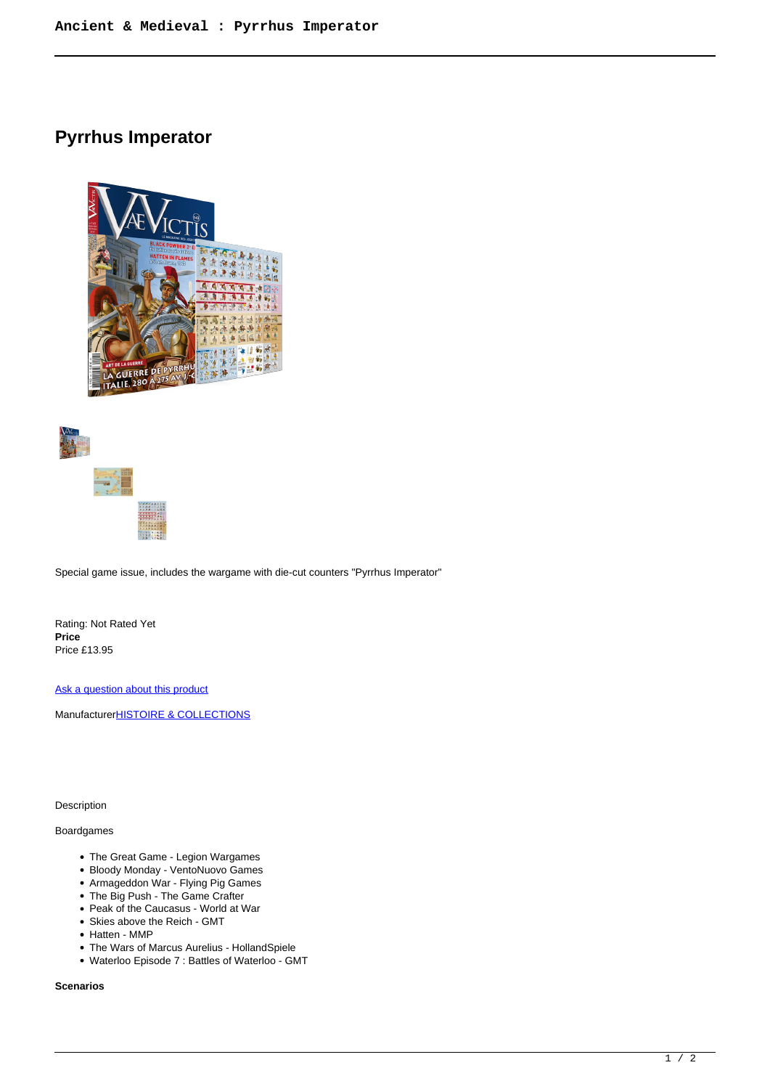# **Pyrrhus Imperator**







Special game issue, includes the wargame with die-cut counters "Pyrrhus Imperator"

Rating: Not Rated Yet **Price**  Price £13.95

[Ask a question about this product](https://www.secondchancegames.com/index.php?option=com_virtuemart&view=productdetails&task=askquestion&virtuemart_product_id=11624&virtuemart_category_id=8&tmpl=component)

Manufacturer**[HISTOIRE & COLLECTIONS](https://www.secondchancegames.com/index.php?option=com_virtuemart&view=manufacturer&virtuemart_manufacturer_id=2533&tmpl=component)** 

Description

### Boardgames

- The Great Game Legion Wargames
- Bloody Monday VentoNuovo Games
- Armageddon War Flying Pig Games
- The Big Push The Game Crafter
- Peak of the Caucasus World at War Skies above the Reich - GMT
- Hatten MMP
- The Wars of Marcus Aurelius HollandSpiele
- Waterloo Episode 7 : Battles of Waterloo GMT

#### **Scenarios**